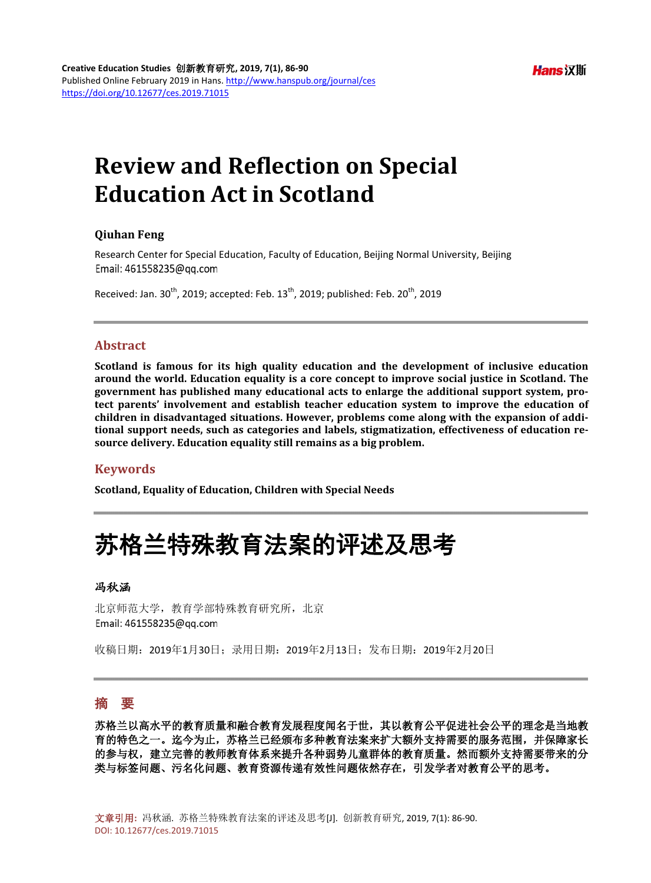# **Review and Reflection on Special Education Act in Scotland**

#### **Qiuhan Feng**

Research Center for Special Education, Faculty of Education, Beijing Normal University, Beijing Email: 461558235@qq.com

Received: Jan.  $30^{th}$ , 2019; accepted: Feb.  $13^{th}$ , 2019; published: Feb.  $20^{th}$ , 2019

#### **Abstract**

**Scotland is famous for its high quality education and the development of inclusive education around the world. Education equality is a core concept to improve social justice in Scotland. The government has published many educational acts to enlarge the additional support system, protect parents' involvement and establish teacher education system to improve the education of children in disadvantaged situations. However, problems come along with the expansion of additional support needs, such as categories and labels, stigmatization, effectiveness of education resource delivery. Education equality still remains as a big problem.**

#### **Keywords**

**Scotland, Equality of Education, Children with Special Needs**

## 苏格兰特殊教育法案的评述及思考

#### 冯秋涵

北京师范大学,教育学部特殊教育研究所,北京 Email: 461558235@qq.com

收稿日期:2019年1月30日;录用日期:2019年2月13日;发布日期:2019年2月20日

## 摘 要

苏格兰以高水平的教育质量和融合教育发展程度闻名于世,其以教育公平促进社会公平的理念是当地教 育的特色之一。迄今为止,苏格兰已经颁布多种教育法案来扩大额外支持需要的服务范围,并保障家长 的参与权,建立完善的教师教育体系来提升各种弱势儿童群体的教育质量。然而额外支持需要带来的分 类与标签问题、污名化问题、教育资源传递有效性问题依然存在,引发学者对教育公平的思考。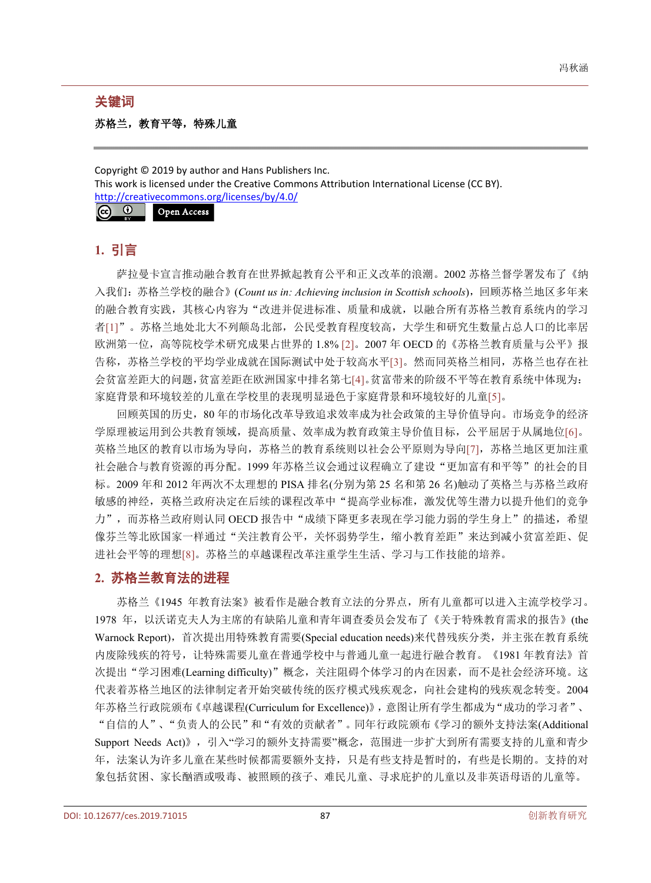#### 关键词

### 苏格兰,教育平等,特殊儿童

Copyright © 2019 by author and Hans Publishers Inc. This work is licensed under the Creative Commons Attribution International License (CC BY). <http://creativecommons.org/licenses/by/4.0/>  $\odot$ Open Access

## **1.** 引言

萨拉曼卡宣言推动融合教育在世界掀起教育公平和正义改革的浪潮。2002 苏格兰督学署发布了《纳 入我们: 苏格兰学校的融合》(*Count us in: Achieving inclusion in Scottish schools*), 回顾苏格兰地区多年来 的融合教育实践,其核心内容为"改进并促进标准、质量和成就,以融合所有苏格兰教育系统内的学习 者[\[1\]](#page-4-0)"。苏格兰地处北大不列颠岛北部,公民受教育程度较高,大学生和研究生数量占总人口的比率居 欧洲第一位,高等院校学术研究成果占世界的 1.8% [\[2\]](#page-4-1)。2007 年 OECD 的《苏格兰教育质量与公平》报 告称,苏格兰学校的平均学业成就在国际测试中处于较高水平[\[3\]](#page-4-2)。然而同英格兰相同,苏格兰也存在社 会贫富差距大的问题,贫富差距在欧洲国家中排名第七[\[4\]](#page-4-3)。贫富带来的阶级不平等在教育系统中体现为: 家庭背景和环境较差的儿童在学校里的表现明显逊色于家庭背景和环境较好的儿童[\[5\]](#page-4-4)。

回顾英国的历史,80 年的市场化改革导致追求效率成为社会政策的主导价值导向。市场竞争的经济 学原理被运用到公共教育领域,提高质量、效率成为教育政策主导价值目标,公平屈居于从属地位[\[6\]](#page-4-5)。 英格兰地区的教育以市场为导向,苏格兰的教育系统则以社会公平原则为导向[\[7\]](#page-4-6),苏格兰地区更加注重 社会融合与教育资源的再分配。1999 年苏格兰议会通过议程确立了建设"更加富有和平等"的社会的目 标。2009 年和 2012 年两次不太理想的 PISA 排名(分别为第 25 名和第 26 名)触动了英格兰与苏格兰政府 敏感的神经,英格兰政府决定在后续的课程改革中"提高学业标准,激发优等生潜力以提升他们的竞争 力",而苏格兰政府则认同 OECD 报告中"成绩下降更多表现在学习能力弱的学生身上"的描述,希望 像芬兰等北欧国家一样通过"关注教育公平,关怀弱势学生,缩小教育差距"来达到减小贫富差距、促 进社会平等的理想[\[8\]](#page-4-7)。苏格兰的卓越课程改革注重学生生活、学习与工作技能的培养。

## **2.** 苏格兰教育法的进程

苏格兰《1945 年教育法案》被看作是融合教育立法的分界点,所有儿童都可以进入主流学校学习。 1978 年,以沃诺克夫人为主席的有缺陷儿童和青年调查委员会发布了《关于特殊教育需求的报告》(the Warnock Report),首次提出用特殊教育需要(Special education needs)来代替残疾分类,并主张在教育系统 内废除残疾的符号,让特殊需要儿童在普通学校中与普通儿童一起进行融合教育。《1981 年教育法》首 次提出"学习困难(Learning difficulty)"概念,关注阻碍个体学习的内在因素,而不是社会经济环境。这 代表着苏格兰地区的法律制定者开始突破传统的医疗模式残疾观念,向社会建构的残疾观念转变。2004 年苏格兰行政院颁布《卓越课程(Curriculum for Excellence)》,意图让所有学生都成为"成功的学习者"、 "自信的人"、"负责人的公民"和"有效的贡献者"。同年行政院颁布《学习的额外支持法案(Additional

Support Needs Act)》,引入"学习的额外支持需要"概念,范围进一步扩大到所有需要支持的儿童和青少 年,法案认为许多儿童在某些时候都需要额外支持,只是有些支持是暂时的,有些是长期的。支持的对 象包括贫困、家长酗酒或吸毒、被照顾的孩子、难民儿童、寻求庇护的儿童以及非英语母语的儿童等。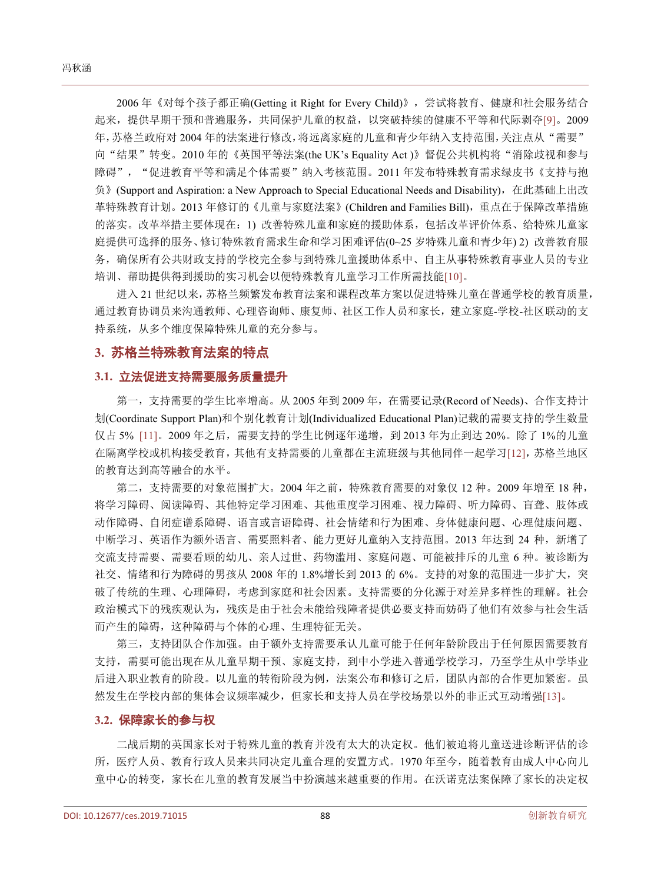2006 年《对每个孩子都正确(Getting it Right for Every Child)》,尝试将教育、健康和社会服务结合 起来,提供早期干预和普遍服务,共同保护儿童的权益,以突破持续的健康不平等和代际剥夺[\[9\]](#page-4-8)。2009 年,苏格兰政府对 2004 年的法案进行修改,将远离家庭的儿童和青少年纳入支持范围,关注点从"需要" 向"结果"转变。2010年的《英国平等法案(the UK's Equality Act)》督促公共机构将"消除歧视和参与 障碍", "促进教育平等和满足个体需要"纳入考核范围。2011 年发布特殊教育需求绿皮书《支持与抱 负》(Support and Aspiration: a New Approach to Special Educational Needs and Disability),在此基础上出改 革特殊教育计划。2013 年修订的《儿童与家庭法案》(Children and Families Bill), 重点在于保障改革措施 的落实。改革举措主要体现在:1) 改善特殊儿童和家庭的援助体系,包括改革评价体系、给特殊儿童家 庭提供可选择的服务、修订特殊教育需求生命和学习困难评估(0~25 岁特殊儿童和青少年) 2) 改善教育服 务,确保所有公共财政支持的学校完全参与到特殊儿童援助体系中、自主从事特殊教育事业人员的专业 培训、帮助提供得到援助的实习机会以便特殊教育儿童学习工作所需技能[\[10\]](#page-4-9)。

进入 21 世纪以来,苏格兰频繁发布教育法案和课程改革方案以促进特殊儿童在普通学校的教育质量, 通过教育协调员来沟通教师、心理咨询师、康复师、社区工作人员和家长,建立家庭-学校-社区联动的支 持系统,从多个维度保障特殊儿童的充分参与。

#### **3.** 苏格兰特殊教育法案的特点

#### **3.1.** 立法促进支持需要服务质量提升

第一,支持需要的学生比率增高。从 2005 年到 2009 年, 在需要记录(Record of Needs)、合作支持计 划(Coordinate Support Plan)和个别化教育计划(Individualized Educational Plan)记载的需要支持的学生数量 仅占 5% [\[11\]](#page-4-10)。2009 年之后,需要支持的学生比例逐年递增,到 2013 年为止到达 20%。除了 1%的儿童 在隔离学校或机构接受教育,其他有支持需要的儿童都在主流班级与其他同伴一起学习[\[12\]](#page-4-11),苏格兰地区 的教育达到高等融合的水平。

第二,支持需要的对象范围扩大。2004 年之前,特殊教育需要的对象仅 12 种。2009 年增至 18 种, 将学习障碍、阅读障碍、其他特定学习困难、其他重度学习困难、视力障碍、听力障碍、盲聋、肢体或 动作障碍、自闭症谱系障碍、语言或言语障碍、社会情绪和行为困难、身体健康问题、心理健康问题、 中断学习、英语作为额外语言、需要照料者、能力更好儿童纳入支持范围。2013 年达到 24 种,新增了 交流支持需要、需要看顾的幼儿、亲人过世、药物滥用、家庭问题、可能被排斥的儿童 6 种。被诊断为 社交、情绪和行为障碍的男孩从 2008 年的 1.8%增长到 2013 的 6%。支持的对象的范围进一步扩大,突 破了传统的生理、心理障碍,考虑到家庭和社会因素。支持需要的分化源于对差异多样性的理解。社会 政治模式下的残疾观认为,残疾是由于社会未能给残障者提供必要支持而妨碍了他们有效参与社会生活 而产生的障碍,这种障碍与个体的心理、生理特征无关。

第三,支持团队合作加强。由于额外支持需要承认儿童可能于任何年龄阶段出于任何原因需要教育 支持,需要可能出现在从儿童早期干预、家庭支持,到中小学进入普通学校学习,乃至学生从中学毕业 后进入职业教育的阶段。以儿童的转衔阶段为例,法案公布和修订之后,团队内部的合作更加紧密。虽 然发生在学校内部的集体会议频率减少,但家长和支持人员在学校场景以外的非正式互动增强[\[13\]](#page-4-12)。

#### **3.2.** 保障家长的参与权

二战后期的英国家长对于特殊儿童的教育并没有太大的决定权。他们被迫将儿童送进诊断评估的诊 所,医疗人员、教育行政人员来共同决定儿童合理的安置方式。1970 年至今,随着教育由成人中心向儿 童中心的转变,家长在儿童的教育发展当中扮演越来越重要的作用。在沃诺克法案保障了家长的决定权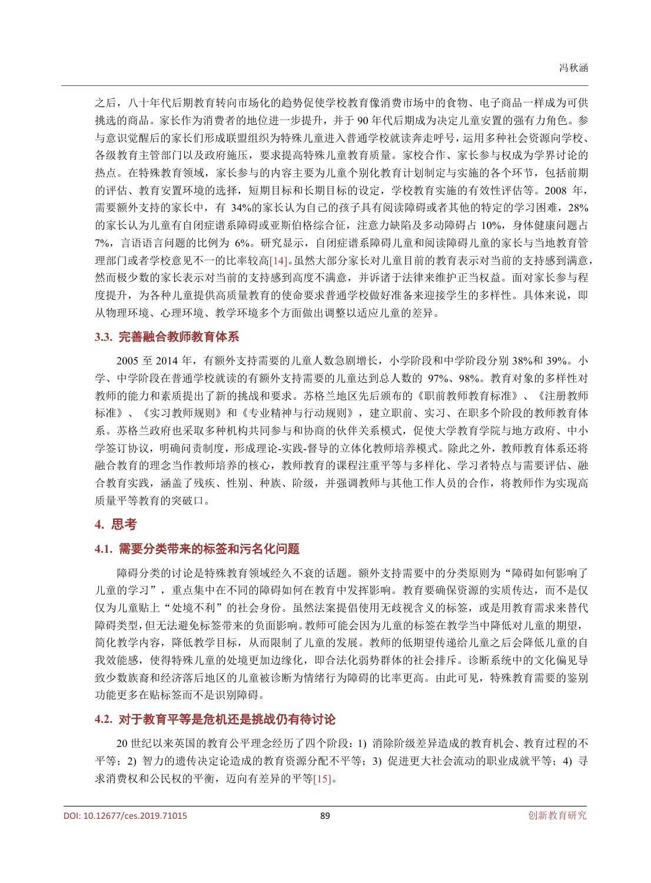之后,八十年代后期教育转向市场化的趋势促使学校教育像消费市场中的食物、电子商品一样成为可供 挑选的商品。家长作为消费者的地位进一步提升,并于 90 年代后期成为决定儿童安置的强有力角色。参 与意识觉醒后的家长们形成联盟组织为特殊儿童进入普通学校就读奔走呼号,运用多种社会资源向学校、 各级教育主管部门以及政府施压,要求提高特殊儿童教育质量。家校合作、家长参与权成为学界讨论的 热点。在特殊教育领域,家长参与的内容主要为儿童个别化教育计划制定与实施的各个环节,包括前期 的评估、教育安置环境的选择,短期目标和长期目标的设定,学校教育实施的有效性评估等。2008 年, 需要额外支持的家长中,有 34%的家长认为自己的孩子具有阅读障碍或者其他的特定的学习困难,28% 的家长认为儿童有自闭症谱系障碍或亚斯伯格综合征,注意力缺陷及多动障碍占 10%,身体健康问题占 7%,言语语言问题的比例为 6%。研究显示,自闭症谱系障碍儿童和阅读障碍儿童的家长与当地教育管 理部门或者学校意见不一的比率较高[\[14\]](#page-4-13)。虽然大部分家长对儿童目前的教育表示对当前的支持感到满意, 然而极少数的家长表示对当前的支持感到高度不满意,并诉诸于法律来维护正当权益。面对家长参与程 度提升,为各种儿童提供高质量教育的使命要求普通学校做好准备来迎接学生的多样性。具体来说,即 从物理环境、心理环境、教学环境多个方面做出调整以适应儿童的差异。

#### **3.3.** 完善融合教师教育体系

2005 至 2014 年,有额外支持需要的儿童人数急剧增长,小学阶段和中学阶段分别 38%和 39%。小 学、中学阶段在普通学校就读的有额外支持需要的儿童达到总人数的 97%、98%。教育对象的多样性对 教师的能力和素质提出了新的挑战和要求。苏格兰地区先后颁布的《职前教师教育标准》、《注册教师 标准》、《实习教师规则》和《专业精神与行动规则》,建立职前、实习、在职多个阶段的教师教育体 系。苏格兰政府也采取多种机构共同参与和协商的伙伴关系模式,促使大学教育学院与地方政府、中小 学签订协议,明确问责制度,形成理论-实践-督导的立体化教师培养模式。除此之外,教师教育体系还将 融合教育的理念当作教师培养的核心,教师教育的课程注重平等与多样化、学习者特点与需要评估、融 合教育实践,涵盖了残疾、性别、种族、阶级,并强调教师与其他工作人员的合作,将教师作为实现高 质量平等教育的突破口。

#### **4.** 思考

#### **4.1.** 需要分类带来的标签和污名化问题

障碍分类的讨论是特殊教育领域经久不衰的话题。额外支持需要中的分类原则为"障碍如何影响了 儿童的学习",重点集中在不同的障碍如何在教育中发挥影响。教育要确保资源的实质传达,而不是仅 仅为儿童贴上"处境不利"的社会身份。虽然法案提倡使用无歧视含义的标签,或是用教育需求来替代 障碍类型,但无法避免标签带来的负面影响。教师可能会因为儿童的标签在教学当中降低对儿童的期望, 简化教学内容,降低教学目标,从而限制了儿童的发展。教师的低期望传递给儿童之后会降低儿童的自 我效能感,使得特殊儿童的处境更加边缘化,即合法化弱势群体的社会排斥。诊断系统中的文化偏见导 致少数族裔和经济落后地区的儿童被诊断为情绪行为障碍的比率更高。由此可见,特殊教育需要的鉴别 功能更多在贴标签而不是识别障碍。

#### **4.2.** 对于教育平等是危机还是挑战仍有待讨论

20 世纪以来英国的教育公平理念经历了四个阶段:1) 消除阶级差异造成的教育机会、教育过程的不 平等;2) 智力的遗传决定论造成的教育资源分配不平等;3) 促进更大社会流动的职业成就平等;4) 寻 求消费权和公民权的平衡,迈向有差异的平等[\[15\]](#page-4-14)。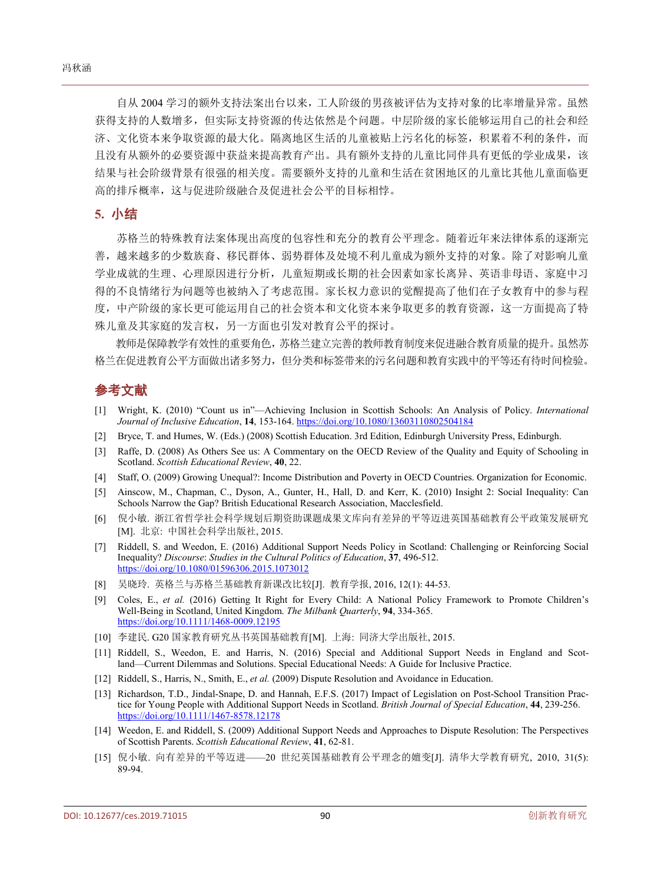自从 2004 学习的额外支持法案出台以来,工人阶级的男孩被评估为支持对象的比率增量异常。虽然 获得支持的人数增多,但实际支持资源的传达依然是个问题。中层阶级的家长能够运用自己的社会和经 济、文化资本来争取资源的最大化。隔离地区生活的儿童被贴上污名化的标签,积累着不利的条件,而 且没有从额外的必要资源中获益来提高教育产出。具有额外支持的儿童比同伴具有更低的学业成果,该 结果与社会阶级背景有很强的相关度。需要额外支持的儿童和生活在贫困地区的儿童比其他儿童面临更 高的排斥概率,这与促进阶级融合及促进社会公平的目标相悖。

#### **5.** 小结

苏格兰的特殊教育法案体现出高度的包容性和充分的教育公平理念。随着近年来法律体系的逐渐完 善,越来越多的少数族裔、移民群体、弱势群体及处境不利儿童成为额外支持的对象。除了对影响儿童 学业成就的生理、心理原因进行分析,儿童短期或长期的社会因素如家长离异、英语非母语、家庭中习 得的不良情绪行为问题等也被纳入了考虑范围。家长权力意识的觉醒提高了他们在子女教育中的参与程 度,中产阶级的家长更可能运用自己的社会资本和文化资本来争取更多的教育资源,这一方面提高了特 殊儿童及其家庭的发言权,另一方面也引发对教育公平的探讨。

教师是保障教学有效性的重要角色,苏格兰建立完善的教师教育制度来促进融合教育质量的提升。虽然苏 格兰在促进教育公平方面做出诸多努力,但分类和标签带来的污名问题和教育实践中的平等还有待时间检验。

## 参考文献

- <span id="page-4-0"></span>[1] Wright, K. (2010) "Count us in"—Achieving Inclusion in Scottish Schools: An Analysis of Policy. *International Journal of Inclusive Education*, **14**, 153-164. <https://doi.org/10.1080/13603110802504184>
- <span id="page-4-1"></span>[2] Bryce, T. and Humes, W. (Eds.) (2008) Scottish Education. 3rd Edition, Edinburgh University Press, Edinburgh.
- <span id="page-4-2"></span>[3] Raffe, D. (2008) As Others See us: A Commentary on the OECD Review of the Quality and Equity of Schooling in Scotland. *Scottish Educational Review*, **40**, 22.
- <span id="page-4-3"></span>[4] Staff, O. (2009) Growing Unequal?: Income Distribution and Poverty in OECD Countries. Organization for Economic.
- <span id="page-4-4"></span>[5] Ainscow, M., Chapman, C., Dyson, A., Gunter, H., Hall, D. and Kerr, K. (2010) Insight 2: Social Inequality: Can Schools Narrow the Gap? British Educational Research Association, Macclesfield.
- <span id="page-4-5"></span>[6] 倪小敏. 浙江省哲学社会科学规划后期资助课题成果文库向有差异的平等迈进英国基础教育公平政策发展研究 [M]. 北京: 中国社会科学出版社, 2015.
- <span id="page-4-6"></span>[7] Riddell, S. and Weedon, E. (2016) Additional Support Needs Policy in Scotland: Challenging or Reinforcing Social Inequality? *Discourse*: *Studies in the Cultural Politics of Education*, **37**, 496-512. <https://doi.org/10.1080/01596306.2015.1073012>
- <span id="page-4-7"></span>[8] 吴晓玲. 英格兰与苏格兰基础教育新课改比较[J]. 教育学报, 2016, 12(1): 44-53.
- <span id="page-4-8"></span>[9] Coles, E., *et al.* (2016) Getting It Right for Every Child: A National Policy Framework to Promote Children's Well-Being in Scotland, United Kingdom. *The Milbank Quarterly*, **94**, 334-365. <https://doi.org/10.1111/1468-0009.12195>
- <span id="page-4-9"></span>[10] 李建民. G20 国家教育研究丛书英国基础教育[M]. 上海: 同济大学出版社, 2015.
- <span id="page-4-10"></span>[11] Riddell, S., Weedon, E. and Harris, N. (2016) Special and Additional Support Needs in England and Scotland—Current Dilemmas and Solutions. Special Educational Needs: A Guide for Inclusive Practice.
- <span id="page-4-11"></span>[12] Riddell, S., Harris, N., Smith, E., *et al.* (2009) Dispute Resolution and Avoidance in Education.
- <span id="page-4-12"></span>[13] Richardson, T.D., Jindal-Snape, D. and Hannah, E.F.S. (2017) Impact of Legislation on Post-School Transition Practice for Young People with Additional Support Needs in Scotland. *British Journal of Special Education*, **44**, 239-256. <https://doi.org/10.1111/1467-8578.12178>
- <span id="page-4-13"></span>[14] Weedon, E. and Riddell, S. (2009) Additional Support Needs and Approaches to Dispute Resolution: The Perspectives of Scottish Parents. *Scottish Educational Review*, **41**, 62-81.
- <span id="page-4-14"></span>[15] 倪小敏. 向有差异的平等迈进——20 世纪英国基础教育公平理念的嬗变[J]. 清华大学教育研究, 2010, 31(5): 89-94.